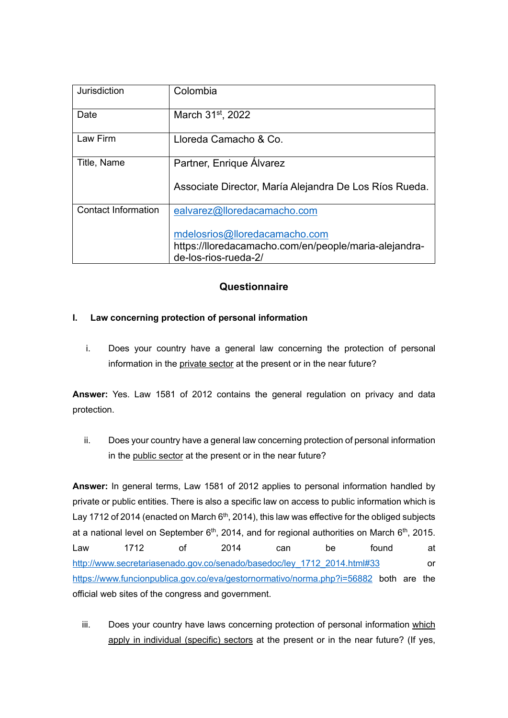| Jurisdiction               | Colombia                                                                      |
|----------------------------|-------------------------------------------------------------------------------|
| Date                       | March 31 <sup>st</sup> , 2022                                                 |
| Law Firm                   | Lloreda Camacho & Co.                                                         |
| Title, Name                | Partner, Enrique Álvarez                                                      |
|                            | Associate Director, María Alejandra De Los Ríos Rueda.                        |
| <b>Contact Information</b> | ealvarez@lloredacamacho.com                                                   |
|                            | mdelosrios@lloredacamacho.com                                                 |
|                            | https://lloredacamacho.com/en/people/maria-alejandra-<br>de-los-rios-rueda-2/ |

## **Questionnaire**

## **I. Law concerning protection of personal information**

i. Does your country have a general law concerning the protection of personal information in the private sector at the present or in the near future?

**Answer:** Yes. Law 1581 of 2012 contains the general regulation on privacy and data protection.

ii. Does your country have a general law concerning protection of personal information in the public sector at the present or in the near future?

**Answer:** In general terms, Law 1581 of 2012 applies to personal information handled by private or public entities. There is also a specific law on access to public information which is Lay 1712 of 2014 (enacted on March  $6<sup>th</sup>$ , 2014), this law was effective for the obliged subjects at a national level on September  $6<sup>th</sup>$ , 2014, and for regional authorities on March  $6<sup>th</sup>$ , 2015. Law 1712 of 2014 can be found at [http://www.secretariasenado.gov.co/senado/basedoc/ley\\_1712\\_2014.html#33](http://www.secretariasenado.gov.co/senado/basedoc/ley_1712_2014.html#33) or <https://www.funcionpublica.gov.co/eva/gestornormativo/norma.php?i=56882> both are the official web sites of the congress and government.

iii. Does your country have laws concerning protection of personal information which apply in individual (specific) sectors at the present or in the near future? (If yes,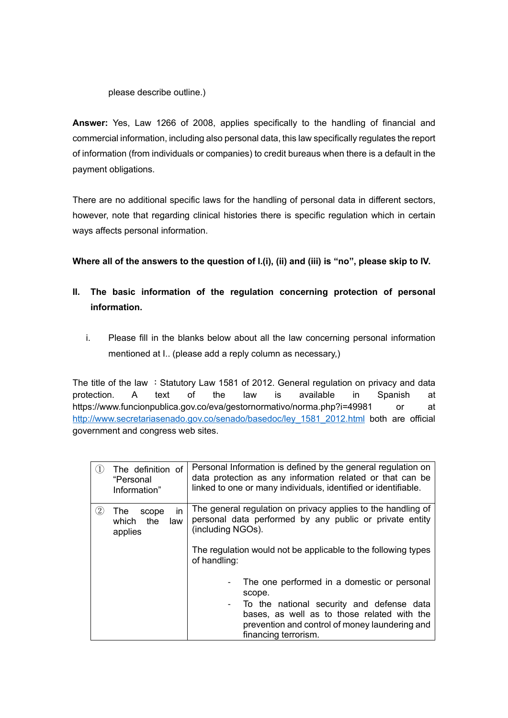### please describe outline.)

**Answer:** Yes, Law 1266 of 2008, applies specifically to the handling of financial and commercial information, including also personal data, this law specifically regulates the report of information (from individuals or companies) to credit bureaus when there is a default in the payment obligations.

There are no additional specific laws for the handling of personal data in different sectors, however, note that regarding clinical histories there is specific regulation which in certain ways affects personal information.

**Where all of the answers to the question of I.(i), (ii) and (iii) is "no", please skip to IV.** 

# **II. The basic information of the regulation concerning protection of personal information.**

i. Please fill in the blanks below about all the law concerning personal information mentioned at I.. (please add a reply column as necessary,)

The title of the law : Statutory Law 1581 of 2012. General regulation on privacy and data protection. A text of the law is available in Spanish at <https://www.funcionpublica.gov.co/eva/gestornormativo/norma.php?i=49981>or at [http://www.secretariasenado.gov.co/senado/basedoc/ley\\_1581\\_2012.html](http://www.secretariasenado.gov.co/senado/basedoc/ley_1581_2012.html) both are official government and congress web sites.

| $\left(1\right)$ | The definition of<br>"Personal<br>Information"       | Personal Information is defined by the general regulation on<br>data protection as any information related or that can be<br>linked to one or many individuals, identified or identifiable.                                   |
|------------------|------------------------------------------------------|-------------------------------------------------------------------------------------------------------------------------------------------------------------------------------------------------------------------------------|
| $\rm(2)$         | in<br>The<br>scope<br>which<br>the<br>law<br>applies | The general regulation on privacy applies to the handling of<br>personal data performed by any public or private entity<br>(including NGOs).<br>The regulation would not be applicable to the following types<br>of handling: |
|                  |                                                      | The one performed in a domestic or personal<br>scope.<br>To the national security and defense data<br>bases, as well as to those related with the<br>prevention and control of money laundering and<br>financing terrorism.   |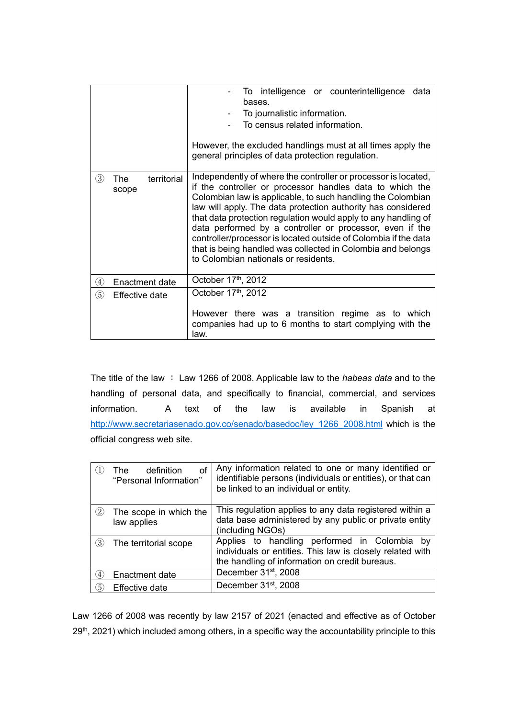|               |                                    | To intelligence or counterintelligence data<br>bases.<br>To journalistic information.<br>To census related information.<br>However, the excluded handlings must at all times apply the<br>general principles of data protection regulation.                                                                                                                                                                                                                                                                                                                       |
|---------------|------------------------------------|-------------------------------------------------------------------------------------------------------------------------------------------------------------------------------------------------------------------------------------------------------------------------------------------------------------------------------------------------------------------------------------------------------------------------------------------------------------------------------------------------------------------------------------------------------------------|
| (3)           | territorial<br><b>The</b><br>scope | Independently of where the controller or processor is located,<br>if the controller or processor handles data to which the<br>Colombian law is applicable, to such handling the Colombian<br>law will apply. The data protection authority has considered<br>that data protection regulation would apply to any handling of<br>data performed by a controller or processor, even if the<br>controller/processor is located outside of Colombia if the data<br>that is being handled was collected in Colombia and belongs<br>to Colombian nationals or residents. |
| $\circled{4}$ | Enactment date                     | October 17th, 2012                                                                                                                                                                                                                                                                                                                                                                                                                                                                                                                                                |
| $\circledS$   | <b>Effective date</b>              | October 17th, 2012                                                                                                                                                                                                                                                                                                                                                                                                                                                                                                                                                |
|               |                                    | However there was a transition regime as to which<br>companies had up to 6 months to start complying with the<br>law.                                                                                                                                                                                                                                                                                                                                                                                                                                             |

The title of the law : Law 1266 of 2008. Applicable law to the *habeas data* and to the handling of personal data, and specifically to financial, commercial, and services information. A text of the law is available in Spanish at [http://www.secretariasenado.gov.co/senado/basedoc/ley\\_1266\\_2008.html](http://www.secretariasenado.gov.co/senado/basedoc/ley_1266_2008.html) which is the official congress web site.

|                   | οf<br>definition<br>The<br>"Personal Information" | Any information related to one or many identified or<br>identifiable persons (individuals or entities), or that can<br>be linked to an individual or entity.   |
|-------------------|---------------------------------------------------|----------------------------------------------------------------------------------------------------------------------------------------------------------------|
| $\left( 2\right)$ | The scope in which the<br>law applies             | This regulation applies to any data registered within a<br>data base administered by any public or private entity<br>(including NGOs)                          |
| (3)               | The territorial scope                             | Applies to handling performed in Colombia<br>bv<br>individuals or entities. This law is closely related with<br>the handling of information on credit bureaus. |
| (4)               | Enactment date                                    | December 31 <sup>st</sup> , 2008                                                                                                                               |
| (5)               | Effective date                                    | December 31 <sup>st</sup> , 2008                                                                                                                               |

Law 1266 of 2008 was recently by law 2157 of 2021 (enacted and effective as of October 29<sup>th</sup>, 2021) which included among others, in a specific way the accountability principle to this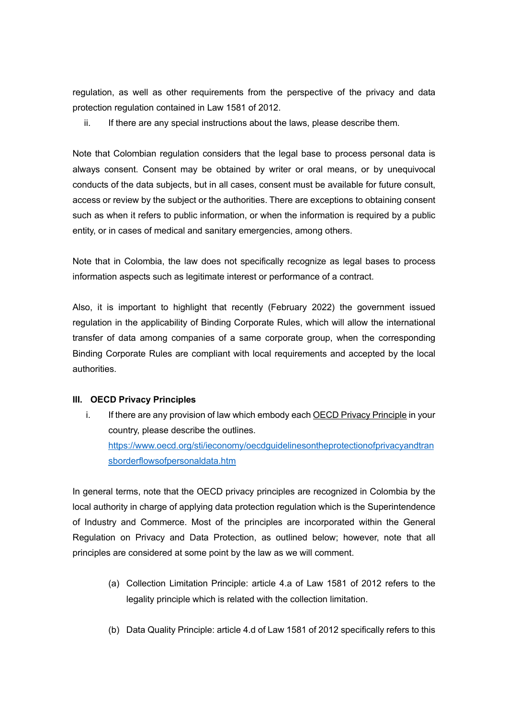regulation, as well as other requirements from the perspective of the privacy and data protection regulation contained in Law 1581 of 2012.

ii. If there are any special instructions about the laws, please describe them.

Note that Colombian regulation considers that the legal base to process personal data is always consent. Consent may be obtained by writer or oral means, or by unequivocal conducts of the data subjects, but in all cases, consent must be available for future consult, access or review by the subject or the authorities. There are exceptions to obtaining consent such as when it refers to public information, or when the information is required by a public entity, or in cases of medical and sanitary emergencies, among others.

Note that in Colombia, the law does not specifically recognize as legal bases to process information aspects such as legitimate interest or performance of a contract.

Also, it is important to highlight that recently (February 2022) the government issued regulation in the applicability of Binding Corporate Rules, which will allow the international transfer of data among companies of a same corporate group, when the corresponding Binding Corporate Rules are compliant with local requirements and accepted by the local authorities.

#### **III. OECD Privacy Principles**

i. If there are any provision of law which embody each OECD Privacy Principle in your country, please describe the outlines. [https://www.oecd.org/sti/ieconomy/oecdguidelinesontheprotectionofprivacyandtran](https://www.oecd.org/sti/ieconomy/oecdguidelinesontheprotectionofprivacyandtransborderflowsofpersonaldata.htm) [sborderflowsofpersonaldata.htm](https://www.oecd.org/sti/ieconomy/oecdguidelinesontheprotectionofprivacyandtransborderflowsofpersonaldata.htm)

In general terms, note that the OECD privacy principles are recognized in Colombia by the local authority in charge of applying data protection regulation which is the Superintendence of Industry and Commerce. Most of the principles are incorporated within the General Regulation on Privacy and Data Protection, as outlined below; however, note that all principles are considered at some point by the law as we will comment.

- (a) Collection Limitation Principle: article 4.a of Law 1581 of 2012 refers to the legality principle which is related with the collection limitation.
- (b) Data Quality Principle: article 4.d of Law 1581 of 2012 specifically refers to this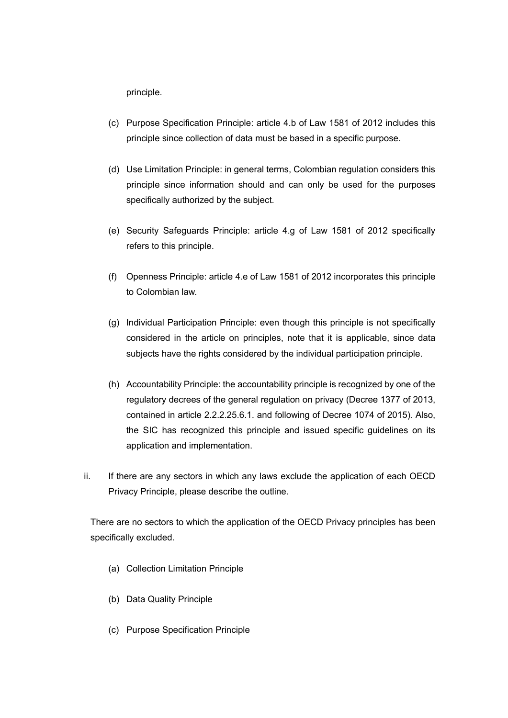principle.

- (c) Purpose Specification Principle: article 4.b of Law 1581 of 2012 includes this principle since collection of data must be based in a specific purpose.
- (d) Use Limitation Principle: in general terms, Colombian regulation considers this principle since information should and can only be used for the purposes specifically authorized by the subject.
- (e) Security Safeguards Principle: article 4.g of Law 1581 of 2012 specifically refers to this principle.
- (f) Openness Principle: article 4.e of Law 1581 of 2012 incorporates this principle to Colombian law.
- (g) Individual Participation Principle: even though this principle is not specifically considered in the article on principles, note that it is applicable, since data subjects have the rights considered by the individual participation principle.
- (h) Accountability Principle: the accountability principle is recognized by one of the regulatory decrees of the general regulation on privacy (Decree 1377 of 2013, contained in article 2.2.2.25.6.1. and following of Decree 1074 of 2015)*.* Also, the SIC has recognized this principle and issued specific guidelines on its application and implementation.
- ii. If there are any sectors in which any laws exclude the application of each OECD Privacy Principle, please describe the outline.

There are no sectors to which the application of the OECD Privacy principles has been specifically excluded.

- (a) Collection Limitation Principle
- (b) Data Quality Principle
- (c) Purpose Specification Principle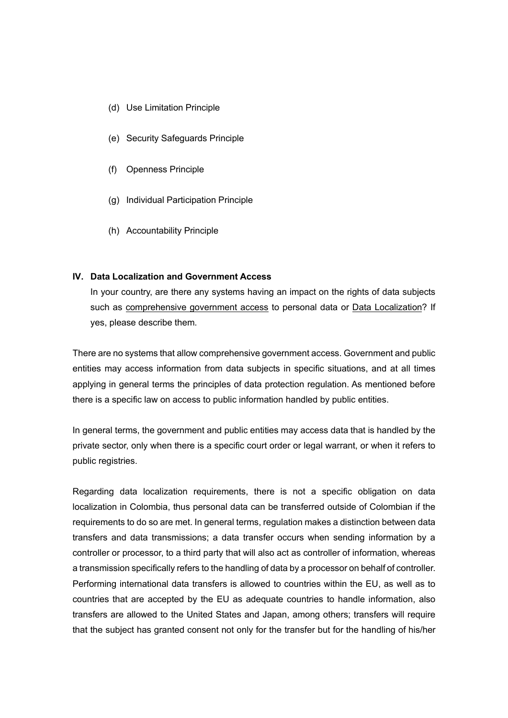- (d) Use Limitation Principle
- (e) Security Safeguards Principle
- (f) Openness Principle
- (g) Individual Participation Principle
- (h) Accountability Principle

### **IV. Data Localization and Government Access**

In your country, are there any systems having an impact on the rights of data subjects such as comprehensive government access to personal data or Data Localization? If yes, please describe them.

There are no systems that allow comprehensive government access. Government and public entities may access information from data subjects in specific situations, and at all times applying in general terms the principles of data protection regulation. As mentioned before there is a specific law on access to public information handled by public entities.

In general terms, the government and public entities may access data that is handled by the private sector, only when there is a specific court order or legal warrant, or when it refers to public registries.

Regarding data localization requirements, there is not a specific obligation on data localization in Colombia, thus personal data can be transferred outside of Colombian if the requirements to do so are met. In general terms, regulation makes a distinction between data transfers and data transmissions; a data transfer occurs when sending information by a controller or processor, to a third party that will also act as controller of information, whereas a transmission specifically refers to the handling of data by a processor on behalf of controller. Performing international data transfers is allowed to countries within the EU, as well as to countries that are accepted by the EU as adequate countries to handle information, also transfers are allowed to the United States and Japan, among others; transfers will require that the subject has granted consent not only for the transfer but for the handling of his/her